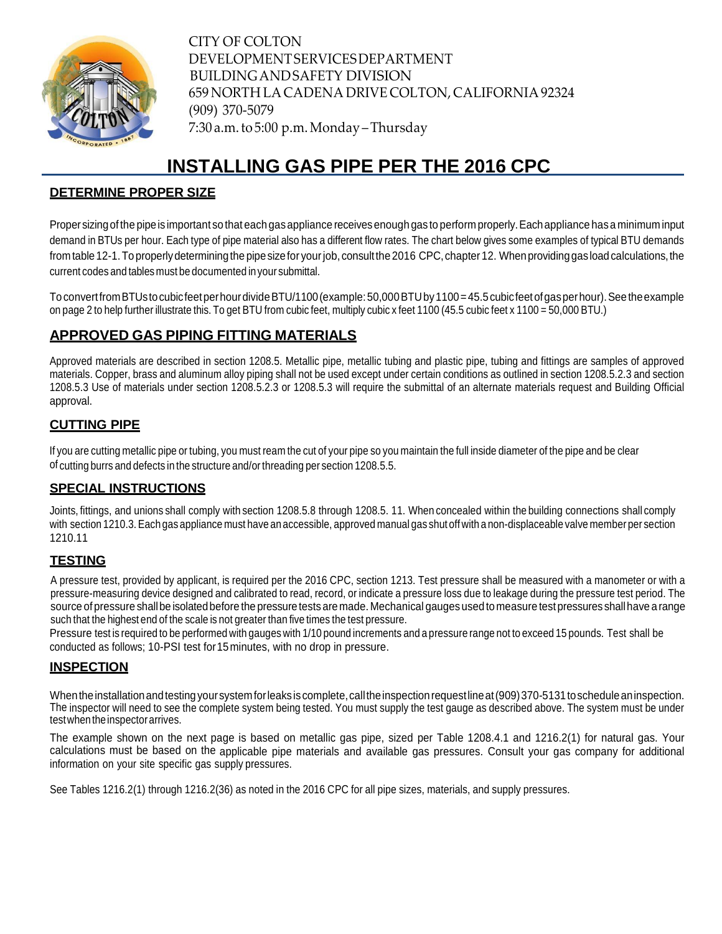

CITY OF COLTON DEVELOPMENTSERVICESDEPARTMENT BUILDINGANDSAFETY DIVISION 659 NORTH LACADENA DRIVE COLTON, CALIFORNIA 92324 (909) 370-5079 7:30 a.m.to 5:00 p.m.Monday –Thursday

# **INSTALLING GAS PIPE PER THE 2016 CPC**

### **DETERMINE PROPER SIZE**

Proper sizingof the pipeis important so that each gasappliance receivesenough gas to perform properly.Eachappliance hasa minimum input demand in BTUs per hour. Each type of pipe material also has a different flow rates. The chart below gives some examples of typical BTU demands from table 12-1. To properly determining the pipe size for your job, consult the 2016 CPC, chapter 12. When providing gas load calculations, the current codes and tables must be documented inyour submittal.

ToconvertfromBTUstocubicfeetperhourdivideBTU/1100(example:50,000BTUby1100=45.5cubicfeetofgasperhour).Seetheexample on page 2 to help further illustrate this. To get BTU from cubic feet, multiply cubic x feet 1100 (45.5 cubic feet x 1100 = 50,000 BTU.)

# **APPROVED GAS PIPING FITTING MATERIALS**

Approved materials are described in section 1208.5. Metallic pipe, metallic tubing and plastic pipe, tubing and fittings are samples of approved materials. Copper, brass and aluminum alloy piping shall not be used except under certain conditions as outlined in section 1208.5.2.3 and section 1208.5.3 Use of materials under section 1208.5.2.3 or 1208.5.3 will require the submittal of an alternate materials request and Building Official approval.

# **CUTTING PIPE**

If you are cutting metallic pipe or tubing, you must ream the cut of your pipe so you maintain the full inside diameter of the pipe and be clear of cutting burrs and defects in the structure and/orthreading per section 1208.5.5.

# **SPECIAL INSTRUCTIONS**

Joints, fittings, and unions shall comply with section 1208.5.8 through 1208.5. 11. When concealed within the building connections shall comply with section 1210.3.Each gas appliance must have an accessible, approved manual gas shut off with a non-displaceable valve member per section 1210.11

#### **TESTING**

A pressure test, provided by applicant, is required per the 2016 CPC, section 1213. Test pressure shall be measured with a manometer or with a pressure-measuring device designed and calibrated to read, record, or indicate a pressure loss due to leakage during the pressure test period. The source of pressure shall be isolated before the pressure tests are made. Mechanical gauges used to measure test pressures shall have a range such that the highest end of the scale is not greater than five times the test pressure.

Pressure test is required to be performed with gauges with 1/10 pound increments and a pressure range not to exceed 15 pounds. Test shall be conducted as follows; 10-PSI test for15minutes, with no drop in pressure.

# **INSPECTION**

When the installation and testing your system for leaks is complete, call the inspection request line at (909) 370-5131 to schedule an inspection. The inspector will need to see the complete system being tested. You must supply the test gauge as described above. The system must be under testwhentheinspectorarrives.

The example shown on the next page is based on metallic gas pipe, sized per Table 1208.4.1 and 1216.2(1) for natural gas. Your calculations must be based on the applicable pipe materials and available gas pressures. Consult your gas company for additional information on your site specific gas supply pressures.

See Tables 1216.2(1) through 1216.2(36) as noted in the 2016 CPC for all pipe sizes, materials, and supply pressures.